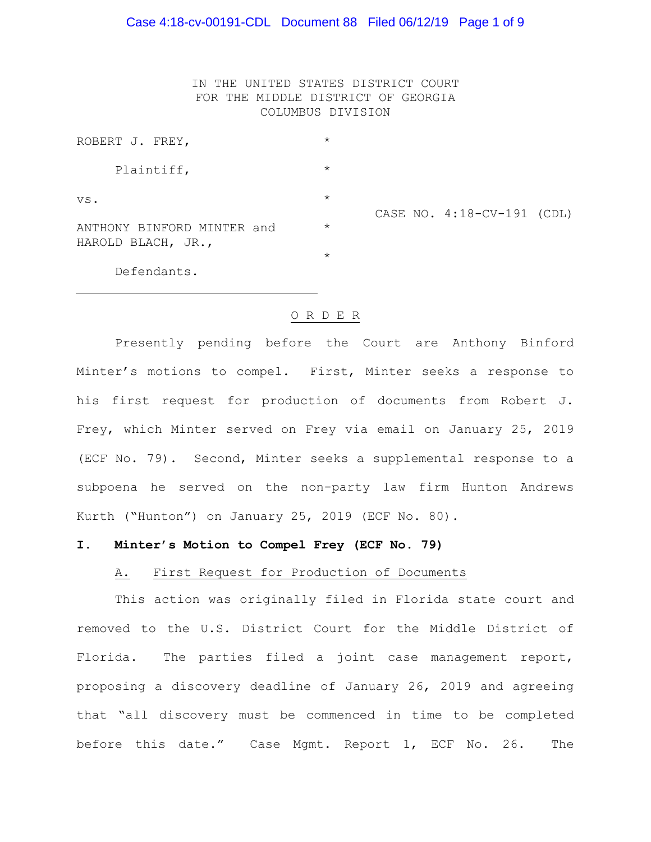IN THE UNITED STATES DISTRICT COURT FOR THE MIDDLE DISTRICT OF GEORGIA COLUMBUS DIVISION

| ROBERT J. FREY,                                  | $\star$ |                            |
|--------------------------------------------------|---------|----------------------------|
| Plaintiff,                                       | $\star$ |                            |
| VS.                                              | $\star$ | CASE NO. 4:18-CV-191 (CDL) |
| ANTHONY BINFORD MINTER and<br>HAROLD BLACH, JR., | $\star$ |                            |
|                                                  | $\star$ |                            |
| Defendants.                                      |         |                            |

### O R D E R

Presently pending before the Court are Anthony Binford Minter's motions to compel. First, Minter seeks a response to his first request for production of documents from Robert J. Frey, which Minter served on Frey via email on January 25, 2019 (ECF No. 79). Second, Minter seeks a supplemental response to a subpoena he served on the non-party law firm Hunton Andrews Kurth ("Hunton") on January 25, 2019 (ECF No. 80).

### **I. Minter's Motion to Compel Frey (ECF No. 79)**

#### A. First Request for Production of Documents

This action was originally filed in Florida state court and removed to the U.S. District Court for the Middle District of Florida. The parties filed a joint case management report, proposing a discovery deadline of January 26, 2019 and agreeing that "all discovery must be commenced in time to be completed before this date." Case Mgmt. Report 1, ECF No. 26. The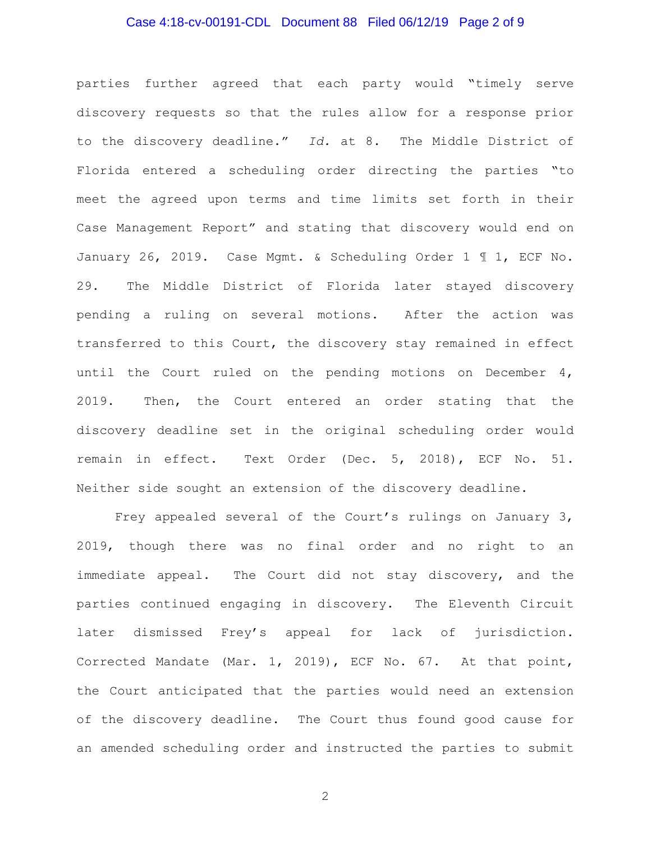## Case 4:18-cv-00191-CDL Document 88 Filed 06/12/19 Page 2 of 9

parties further agreed that each party would "timely serve discovery requests so that the rules allow for a response prior to the discovery deadline." *Id.* at 8. The Middle District of Florida entered a scheduling order directing the parties "to meet the agreed upon terms and time limits set forth in their Case Management Report" and stating that discovery would end on January 26, 2019. Case Mgmt. & Scheduling Order 1 ¶ 1, ECF No. 29. The Middle District of Florida later stayed discovery pending a ruling on several motions. After the action was transferred to this Court, the discovery stay remained in effect until the Court ruled on the pending motions on December 4, 2019. Then, the Court entered an order stating that the discovery deadline set in the original scheduling order would remain in effect. Text Order (Dec. 5, 2018), ECF No. 51. Neither side sought an extension of the discovery deadline.

Frey appealed several of the Court's rulings on January 3, 2019, though there was no final order and no right to an immediate appeal. The Court did not stay discovery, and the parties continued engaging in discovery. The Eleventh Circuit later dismissed Frey's appeal for lack of jurisdiction. Corrected Mandate (Mar. 1, 2019), ECF No. 67. At that point, the Court anticipated that the parties would need an extension of the discovery deadline. The Court thus found good cause for an amended scheduling order and instructed the parties to submit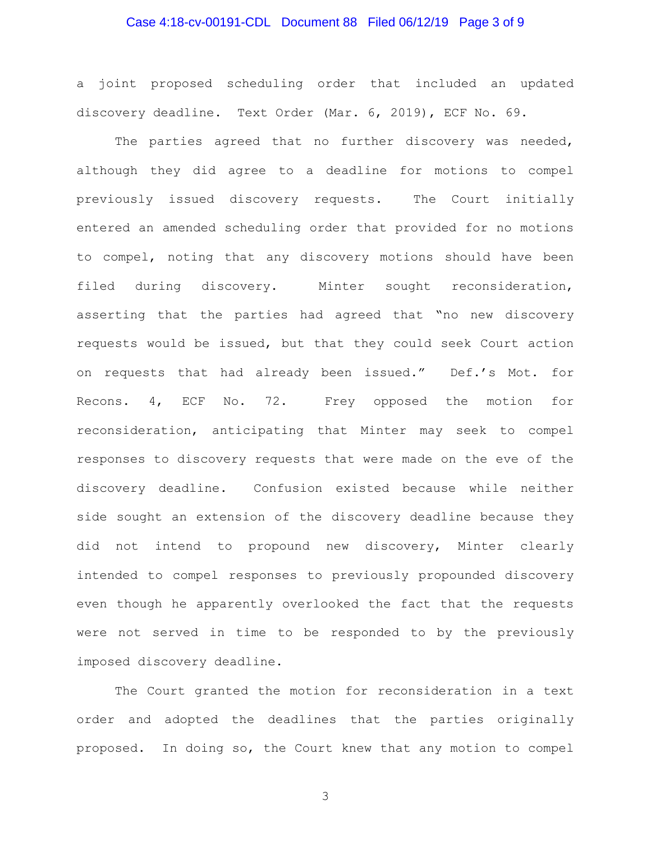## Case 4:18-cv-00191-CDL Document 88 Filed 06/12/19 Page 3 of 9

a joint proposed scheduling order that included an updated discovery deadline. Text Order (Mar. 6, 2019), ECF No. 69.

The parties agreed that no further discovery was needed, although they did agree to a deadline for motions to compel previously issued discovery requests. The Court initially entered an amended scheduling order that provided for no motions to compel, noting that any discovery motions should have been filed during discovery. Minter sought reconsideration, asserting that the parties had agreed that "no new discovery requests would be issued, but that they could seek Court action on requests that had already been issued." Def.'s Mot. for Recons. 4, ECF No. 72. Frey opposed the motion for reconsideration, anticipating that Minter may seek to compel responses to discovery requests that were made on the eve of the discovery deadline. Confusion existed because while neither side sought an extension of the discovery deadline because they did not intend to propound new discovery, Minter clearly intended to compel responses to previously propounded discovery even though he apparently overlooked the fact that the requests were not served in time to be responded to by the previously imposed discovery deadline.

The Court granted the motion for reconsideration in a text order and adopted the deadlines that the parties originally proposed. In doing so, the Court knew that any motion to compel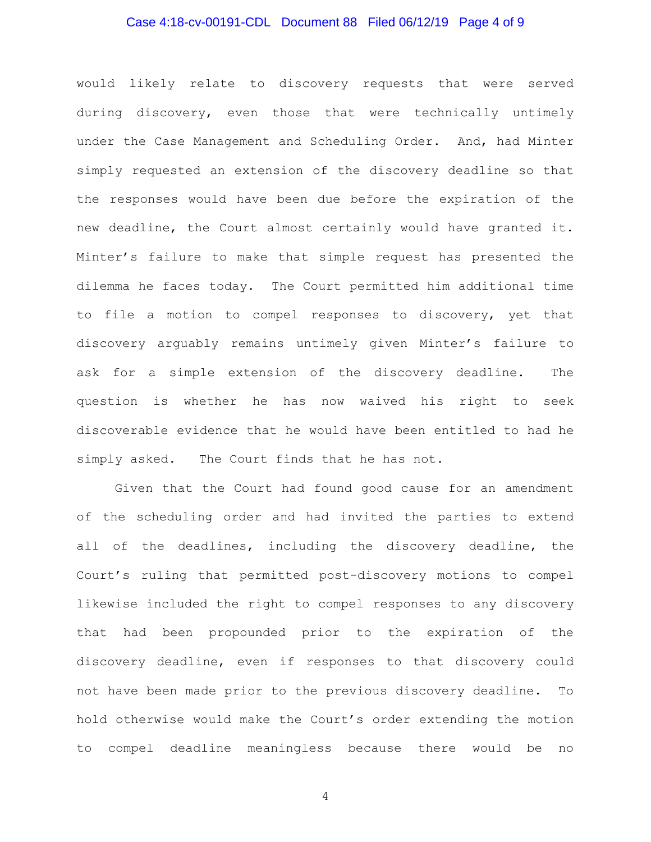## Case 4:18-cv-00191-CDL Document 88 Filed 06/12/19 Page 4 of 9

would likely relate to discovery requests that were served during discovery, even those that were technically untimely under the Case Management and Scheduling Order. And, had Minter simply requested an extension of the discovery deadline so that the responses would have been due before the expiration of the new deadline, the Court almost certainly would have granted it. Minter's failure to make that simple request has presented the dilemma he faces today. The Court permitted him additional time to file a motion to compel responses to discovery, yet that discovery arguably remains untimely given Minter's failure to ask for a simple extension of the discovery deadline. The question is whether he has now waived his right to seek discoverable evidence that he would have been entitled to had he simply asked. The Court finds that he has not.

Given that the Court had found good cause for an amendment of the scheduling order and had invited the parties to extend all of the deadlines, including the discovery deadline, the Court's ruling that permitted post-discovery motions to compel likewise included the right to compel responses to any discovery that had been propounded prior to the expiration of the discovery deadline, even if responses to that discovery could not have been made prior to the previous discovery deadline. To hold otherwise would make the Court's order extending the motion to compel deadline meaningless because there would be no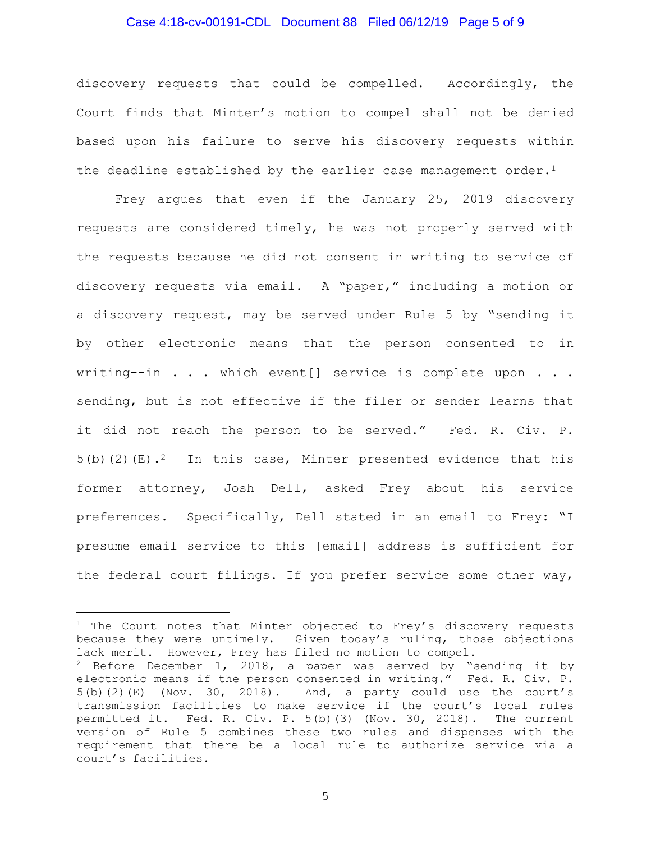### Case 4:18-cv-00191-CDL Document 88 Filed 06/12/19 Page 5 of 9

discovery requests that could be compelled. Accordingly, the Court finds that Minter's motion to compel shall not be denied based upon his failure to serve his discovery requests within the deadline established by the earlier case management order.<sup>1</sup>

Frey argues that even if the January 25, 2019 discovery requests are considered timely, he was not properly served with the requests because he did not consent in writing to service of discovery requests via email. A "paper," including a motion or a discovery request, may be served under Rule 5 by "sending it by other electronic means that the person consented to in writing--in  $\ldots$  which event[] service is complete upon  $\ldots$ . sending, but is not effective if the filer or sender learns that it did not reach the person to be served." Fed. R. Civ. P. 5(b)(2)(E).<sup>2</sup> In this case, Minter presented evidence that his former attorney, Josh Dell, asked Frey about his service preferences. Specifically, Dell stated in an email to Frey: "I presume email service to this [email] address is sufficient for the federal court filings. If you prefer service some other way,

÷.

 $1$  The Court notes that Minter objected to Frey's discovery requests because they were untimely. Given today's ruling, those objections lack merit. However, Frey has filed no motion to compel.

<sup>&</sup>lt;sup>2</sup> Before December 1, 2018, a paper was served by "sending it by electronic means if the person consented in writing." Fed. R. Civ. P.  $5(b)(2)(E)$  (Nov. 30, 2018). And, a party could use the court's transmission facilities to make service if the court's local rules permitted it. Fed. R. Civ. P. 5(b)(3) (Nov. 30, 2018). The current version of Rule 5 combines these two rules and dispenses with the requirement that there be a local rule to authorize service via a court's facilities.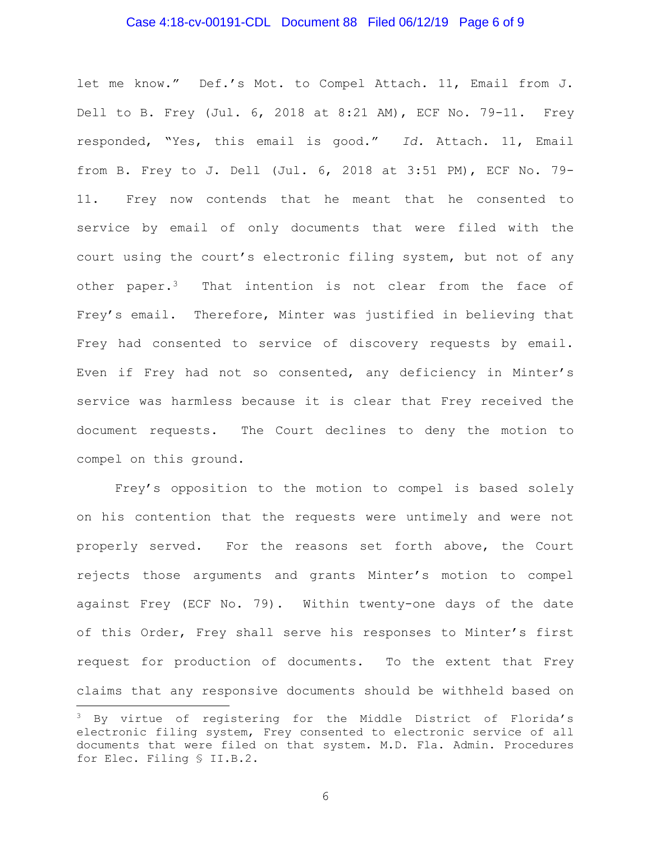### Case 4:18-cv-00191-CDL Document 88 Filed 06/12/19 Page 6 of 9

let me know." Def.'s Mot. to Compel Attach. 11, Email from J. Dell to B. Frey (Jul. 6, 2018 at 8:21 AM), ECF No. 79-11. Frey responded, "Yes, this email is good." *Id.* Attach. 11, Email from B. Frey to J. Dell (Jul. 6, 2018 at 3:51 PM), ECF No. 79- 11. Frey now contends that he meant that he consented to service by email of only documents that were filed with the court using the court's electronic filing system, but not of any other paper.<sup>3</sup> That intention is not clear from the face of Frey's email. Therefore, Minter was justified in believing that Frey had consented to service of discovery requests by email. Even if Frey had not so consented, any deficiency in Minter's service was harmless because it is clear that Frey received the document requests. The Court declines to deny the motion to compel on this ground.

Frey's opposition to the motion to compel is based solely on his contention that the requests were untimely and were not properly served. For the reasons set forth above, the Court rejects those arguments and grants Minter's motion to compel against Frey (ECF No. 79). Within twenty-one days of the date of this Order, Frey shall serve his responses to Minter's first request for production of documents. To the extent that Frey claims that any responsive documents should be withheld based on

÷.

<sup>&</sup>lt;sup>3</sup> By virtue of registering for the Middle District of Florida's electronic filing system, Frey consented to electronic service of all documents that were filed on that system. M.D. Fla. Admin. Procedures for Elec. Filing § II.B.2.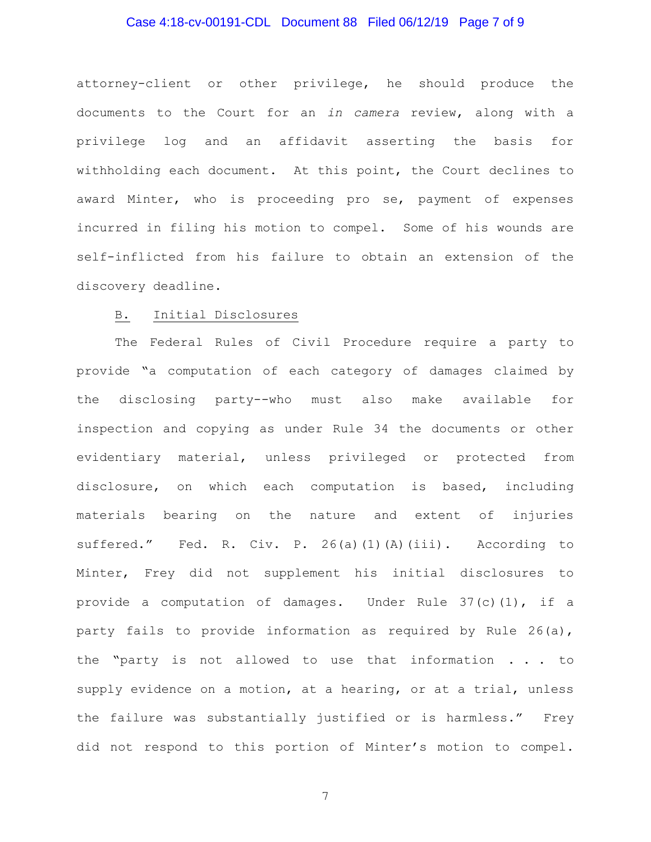## Case 4:18-cv-00191-CDL Document 88 Filed 06/12/19 Page 7 of 9

attorney-client or other privilege, he should produce the documents to the Court for an *in camera* review, along with a privilege log and an affidavit asserting the basis for withholding each document. At this point, the Court declines to award Minter, who is proceeding pro se, payment of expenses incurred in filing his motion to compel. Some of his wounds are self-inflicted from his failure to obtain an extension of the discovery deadline.

### B. Initial Disclosures

The Federal Rules of Civil Procedure require a party to provide "a computation of each category of damages claimed by the disclosing party--who must also make available for inspection and copying as under Rule 34 the documents or other evidentiary material, unless privileged or protected from disclosure, on which each computation is based, including materials bearing on the nature and extent of injuries suffered." Fed. R. Civ. P. 26(a)(1)(A)(iii). According to Minter, Frey did not supplement his initial disclosures to provide a computation of damages. Under Rule 37(c)(1), if a party fails to provide information as required by Rule 26(a), the "party is not allowed to use that information . . . to supply evidence on a motion, at a hearing, or at a trial, unless the failure was substantially justified or is harmless." Frey did not respond to this portion of Minter's motion to compel.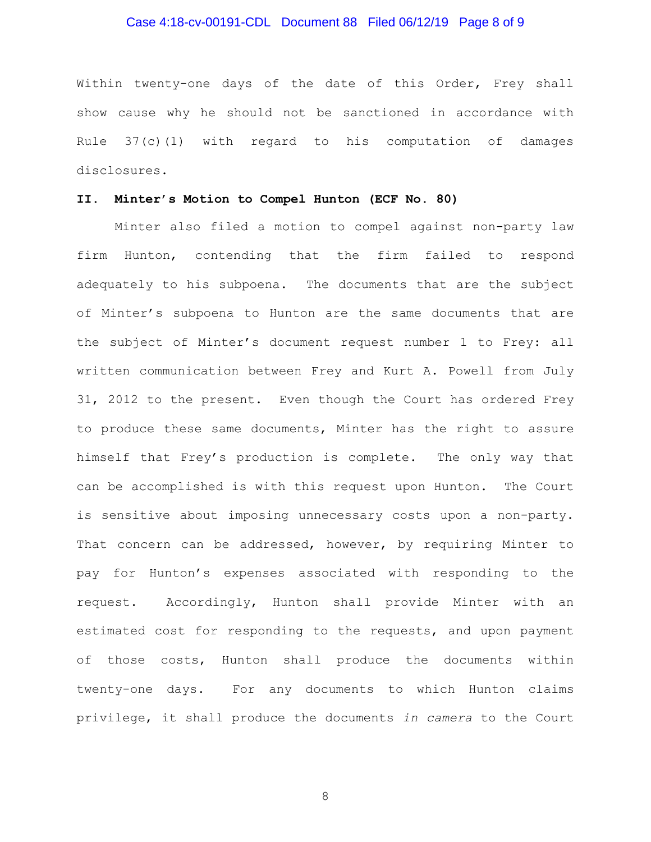## Case 4:18-cv-00191-CDL Document 88 Filed 06/12/19 Page 8 of 9

Within twenty-one days of the date of this Order, Frey shall show cause why he should not be sanctioned in accordance with Rule 37(c)(1) with regard to his computation of damages disclosures.

### **II. Minter's Motion to Compel Hunton (ECF No. 80)**

Minter also filed a motion to compel against non-party law firm Hunton, contending that the firm failed to respond adequately to his subpoena. The documents that are the subject of Minter's subpoena to Hunton are the same documents that are the subject of Minter's document request number 1 to Frey: all written communication between Frey and Kurt A. Powell from July 31, 2012 to the present. Even though the Court has ordered Frey to produce these same documents, Minter has the right to assure himself that Frey's production is complete. The only way that can be accomplished is with this request upon Hunton. The Court is sensitive about imposing unnecessary costs upon a non-party. That concern can be addressed, however, by requiring Minter to pay for Hunton's expenses associated with responding to the request. Accordingly, Hunton shall provide Minter with an estimated cost for responding to the requests, and upon payment of those costs, Hunton shall produce the documents within twenty-one days. For any documents to which Hunton claims privilege, it shall produce the documents *in camera* to the Court